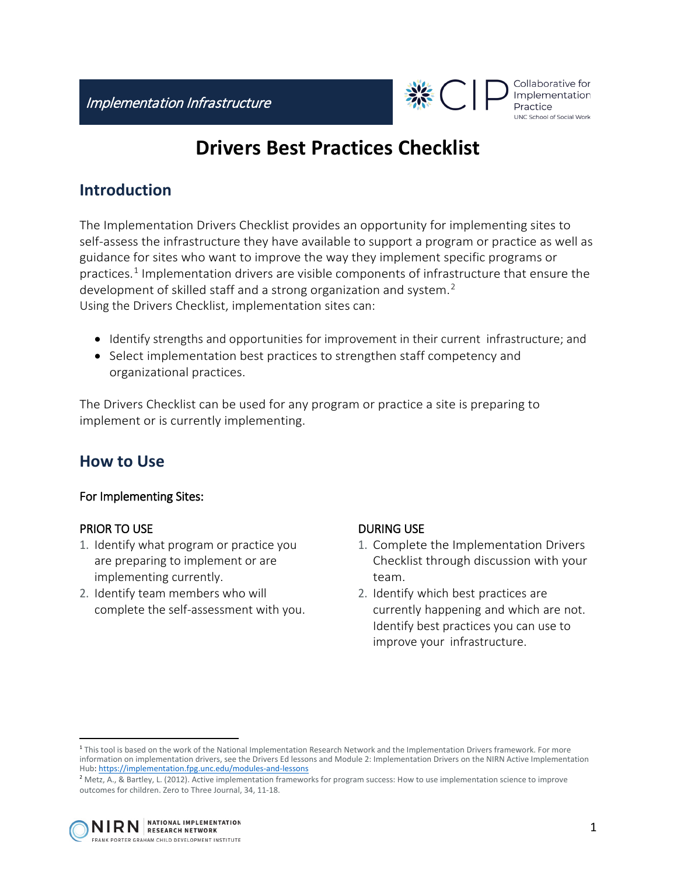

#### Collaborative for Implementation UNC School of Social Work

# **Drivers Best Practices Checklist**

# **Introduction**

The Implementation Drivers Checklist provides an opportunity for implementing sites to self-assess the infrastructure they have available to support a program or practice as well as guidance for sites who want to improve the way they implement specific programs or practices.[1](#page-0-0) Implementation drivers are visible components of infrastructure that ensure the development of skilled staff and a strong organization and system.<sup>[2](#page-0-1)</sup> Using the Drivers Checklist, implementation sites can:

- Identify strengths and opportunities for improvement in their current infrastructure; and
- Select implementation best practices to strengthen staff competency and organizational practices.

The Drivers Checklist can be used for any program or practice a site is preparing to implement or is currently implementing.

# **How to Use**

### For Implementing Sites:

#### PRIOR TO USE

- 1. Identify what program or practice you are preparing to implement or are implementing currently.
- 2. Identify team members who will complete the self-assessment with you.

### DURING USE

- 1. Complete the Implementation Drivers Checklist through discussion with your team.
- 2. Identify which best practices are currently happening and which are not. Identify best practices you can use to improve your infrastructure.

<span id="page-0-0"></span> $\overline{a}$ <sup>1</sup> This tool is based on the work of the National Implementation Research Network and the Implementation Drivers framework. For more information on implementation drivers, see the Drivers Ed lessons and Module 2: Implementation Drivers on the NIRN Active Implementation Hub[: https://implementation.fpg.unc.edu/modules-and-lessons](https://implementation.fpg.unc.edu/modules-and-lessons)

<span id="page-0-1"></span><sup>&</sup>lt;sup>2</sup> Metz, A., & Bartley, L. (2012). Active implementation frameworks for program success: How to use implementation science to improve outcomes for children. Zero to Three Journal, 34, 11-18.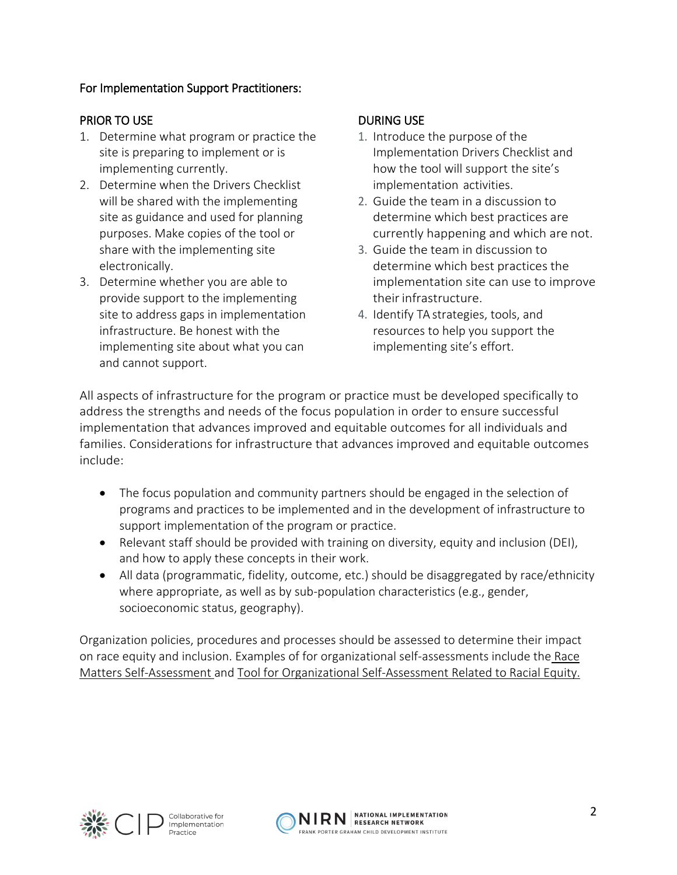### For Implementation Support Practitioners:

### PRIOR TO USE

- 1. Determine what program or practice the site is preparing to implement or is implementing currently.
- 2. Determine when the Drivers Checklist will be shared with the implementing site as guidance and used for planning purposes. Make copies of the tool or share with the implementing site electronically.
- 3. Determine whether you are able to provide support to the implementing site to address gaps in implementation infrastructure. Be honest with the implementing site about what you can and cannot support.

#### DURING USE

- 1. Introduce the purpose of the Implementation Drivers Checklist and how the tool will support the site's implementation activities.
- 2. Guide the team in a discussion to determine which best practices are currently happening and which are not.
- 3. Guide the team in discussion to determine which best practices the implementation site can use to improve their infrastructure.
- 4. Identify TA strategies, tools, and resources to help you support the implementing site's effort.

All aspects of infrastructure for the program or practice must be developed specifically to address the strengths and needs of the focus population in order to ensure successful implementation that advances improved and equitable outcomes for all individuals and families. Considerations for infrastructure that advances improved and equitable outcomes include:

- The focus population and community partners should be engaged in the selection of programs and practices to be implemented and in the development of infrastructure to support implementation of the program or practice.
- Relevant staff should be provided with training on diversity, equity and inclusion (DEI), and how to apply these concepts in their work.
- All data (programmatic, fidelity, outcome, etc.) should be disaggregated by race/ethnicity where appropriate, as well as by sub-population characteristics (e.g., gender, socioeconomic status, geography).

Organization policies, procedures and processes should be assessed to determine their impact on race equity and inclusion. Examples of for organizational self-assessments include the [Race](https://www.aecf.org/m/resourcedoc/aecf-RACEMATTERSorgselfassessment-2006.pdf)  [Matters Self-Assessment](https://www.aecf.org/m/resourcedoc/aecf-RACEMATTERSorgselfassessment-2006.pdf) and [Tool for Organizational Self-Assessment Related to Racial Equity.](https://racc.org/wp-content/uploads/buildingblocks/foundation/CCC%20-%20Tool%20for%20Organizational%20Self-Assessment%20Related%20to%20Racial%20Equity.pdf)



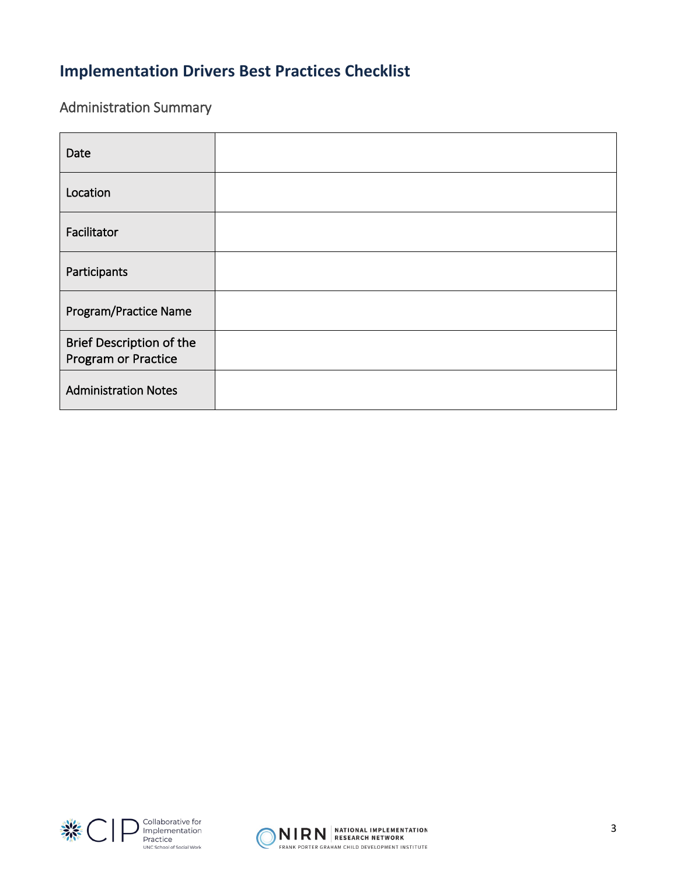# **Implementation Drivers Best Practices Checklist**

## Administration Summary

| Date                                                          |  |
|---------------------------------------------------------------|--|
| Location                                                      |  |
| Facilitator                                                   |  |
| Participants                                                  |  |
| Program/Practice Name                                         |  |
| <b>Brief Description of the</b><br><b>Program or Practice</b> |  |
| <b>Administration Notes</b>                                   |  |



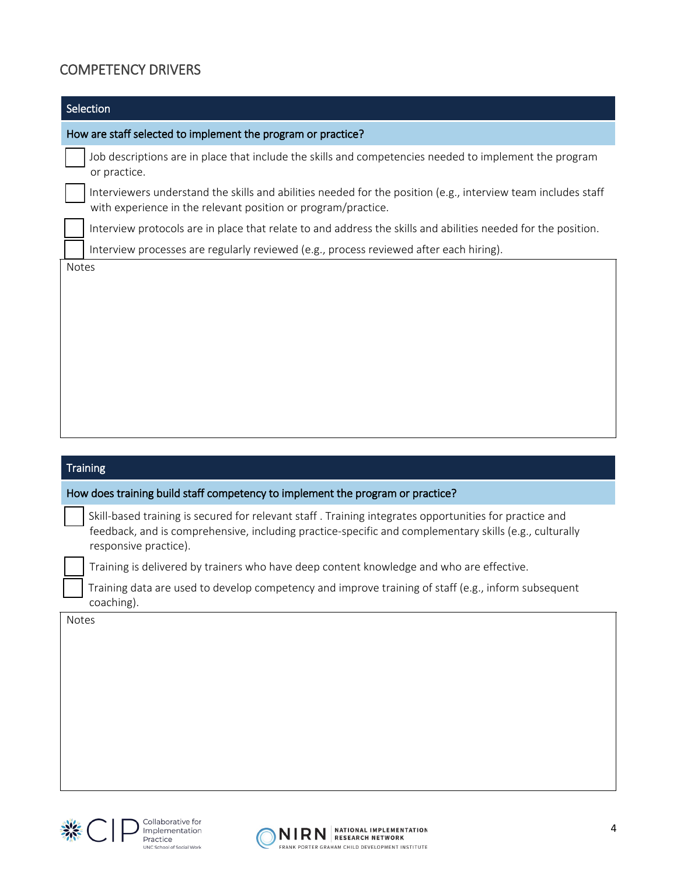## COMPETENCY DRIVERS

| Selection                                                                                                                                                                                                                                 |  |
|-------------------------------------------------------------------------------------------------------------------------------------------------------------------------------------------------------------------------------------------|--|
| How are staff selected to implement the program or practice?                                                                                                                                                                              |  |
| Job descriptions are in place that include the skills and competencies needed to implement the program<br>or practice.                                                                                                                    |  |
| Interviewers understand the skills and abilities needed for the position (e.g., interview team includes staff<br>with experience in the relevant position or program/practice.                                                            |  |
| Interview protocols are in place that relate to and address the skills and abilities needed for the position.                                                                                                                             |  |
| Interview processes are regularly reviewed (e.g., process reviewed after each hiring).                                                                                                                                                    |  |
|                                                                                                                                                                                                                                           |  |
| <b>Training</b>                                                                                                                                                                                                                           |  |
| How does training build staff competency to implement the program or practice?                                                                                                                                                            |  |
| Skill-based training is secured for relevant staff. Training integrates opportunities for practice and<br>feedback, and is comprehensive, including practice-specific and complementary skills (e.g., culturally<br>responsive practice). |  |
| Training is delivered by trainers who have deep content knowledge and who are effective.                                                                                                                                                  |  |
| Training data are used to develop competency and improve training of staff (e.g., inform subsequent<br>coaching).                                                                                                                         |  |
| Notes                                                                                                                                                                                                                                     |  |



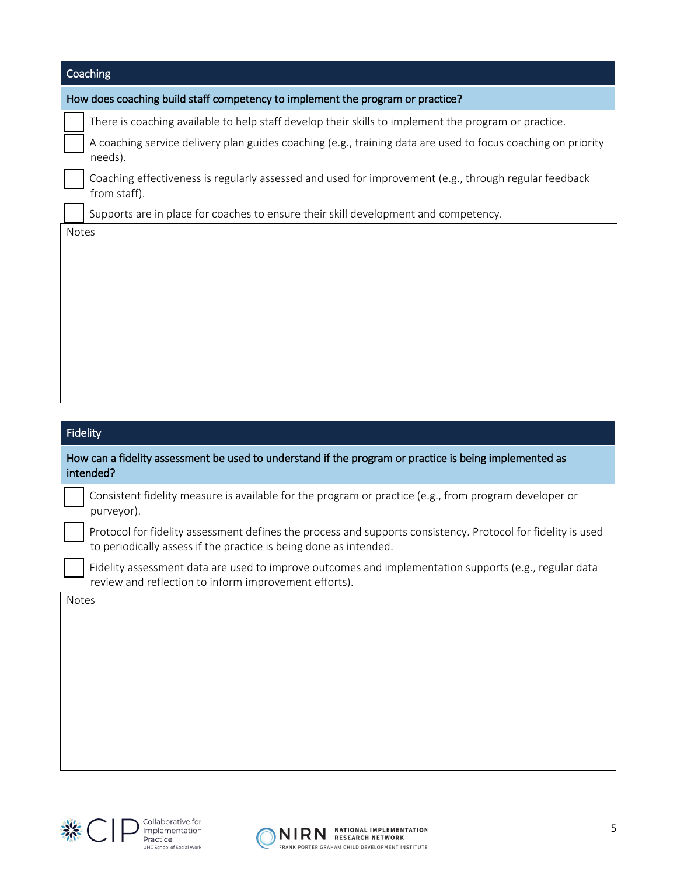| Coaching                                                                                                                                                                          |  |  |
|-----------------------------------------------------------------------------------------------------------------------------------------------------------------------------------|--|--|
| How does coaching build staff competency to implement the program or practice?                                                                                                    |  |  |
| There is coaching available to help staff develop their skills to implement the program or practice.                                                                              |  |  |
| A coaching service delivery plan guides coaching (e.g., training data are used to focus coaching on priority<br>needs).                                                           |  |  |
| Coaching effectiveness is regularly assessed and used for improvement (e.g., through regular feedback<br>from staff).                                                             |  |  |
| Supports are in place for coaches to ensure their skill development and competency.                                                                                               |  |  |
|                                                                                                                                                                                   |  |  |
| <b>Fidelity</b><br>How can a fidelity assessment be used to understand if the program or practice is being implemented as<br>intended?                                            |  |  |
| Consistent fidelity measure is available for the program or practice (e.g., from program developer or<br>purveyor).                                                               |  |  |
| Protocol for fidelity assessment defines the process and supports consistency. Protocol for fidelity is used<br>to periodically assess if the practice is being done as intended. |  |  |
| Fidelity assessment data are used to improve outcomes and implementation supports (e.g., regular data<br>review and reflection to inform improvement efforts).                    |  |  |
| Notes                                                                                                                                                                             |  |  |



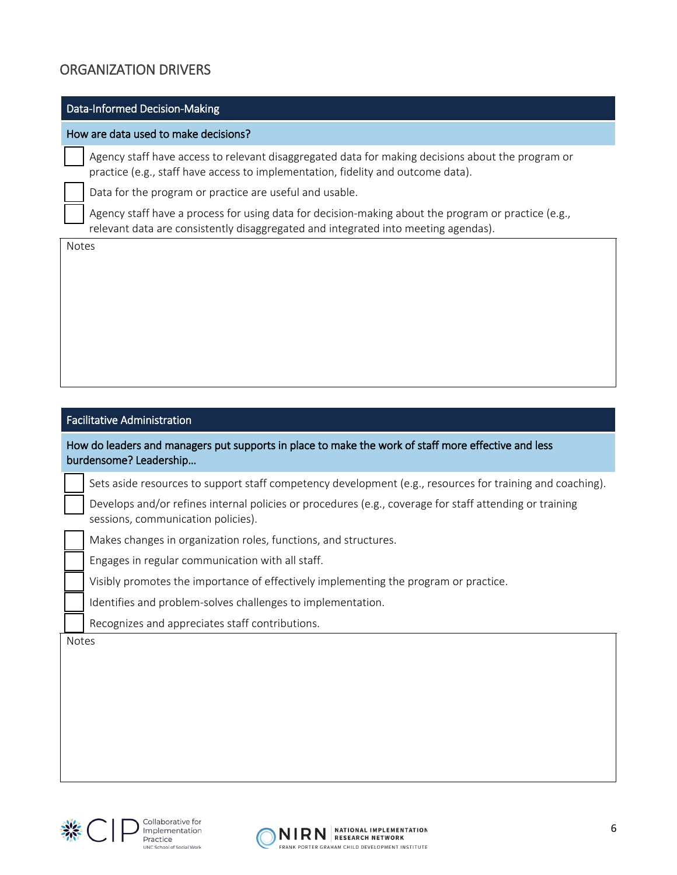### ORGANIZATION DRIVERS

#### Data-Informed Decision-Making

#### How are data used to make decisions?

 Agency staff have access to relevant disaggregated data for making decisions about the program or practice (e.g., staff have access to implementation, fidelity and outcome data).

Data for the program or practice are useful and usable.

 Agency staff have a process for using data for decision-making about the program or practice (e.g., relevant data are consistently disaggregated and integrated into meeting agendas).

Notes

#### Facilitative Administration

How do leaders and managers put supports in place to make the work of staff more effective and less burdensome? Leadership…

Sets aside resources to support staff competency development (e.g., resources for training and coaching).

 Develops and/or refines internal policies or procedures (e.g., coverage for staff attending or training sessions, communication policies).

Makes changes in organization roles, functions, and structures.

Engages in regular communication with all staff.

Visibly promotes the importance of effectively implementing the program or practice.

Identifies and problem-solves challenges to implementation.

Recognizes and appreciates staff contributions.

Notes